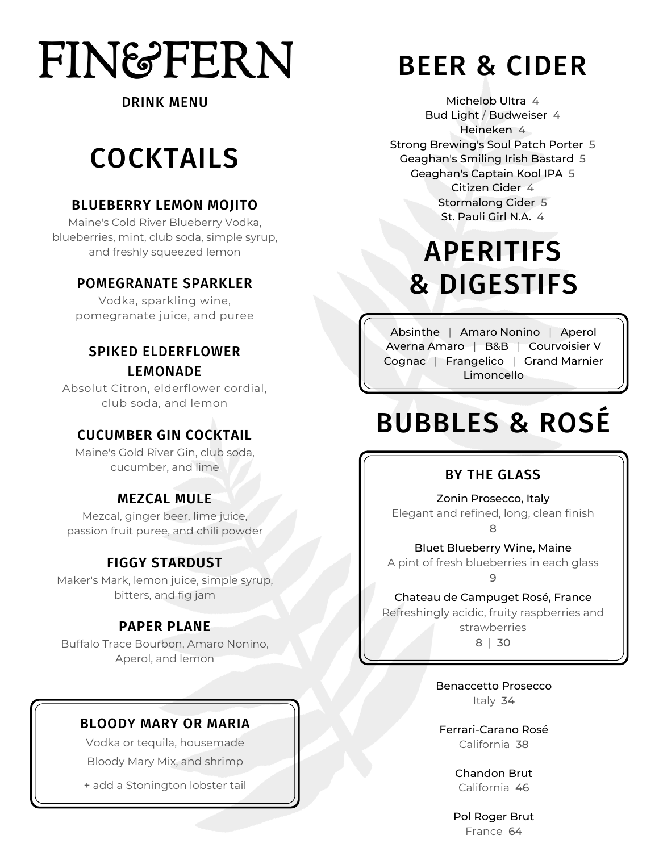# **FIN&FERN**

#### DRINK MENU

# COCKTAILS

#### **BLUEBERRY LEMON MOJITO**

Maine's Cold River Blueberry Vodka, blueberries, mint, club soda, simple syrup, and freshly squeezed lemon

#### POMEGRANATE SPARKLER

Vodka, sparkling wine, pomegranate juice, and puree

#### SPIKED ELDERFLOWER LEMONADE

Absolut Citron, elderflower cordial, club soda, and lemon

#### **CUCUMBER GIN COCKTAIL**

Maine's Gold River Gin, club soda, cucumber, and lime

#### **MEZCAL MULE**

Mezcal, ginger beer, lime juice, passion fruit puree, and chili powder

#### **FIGGY STARDUST**

Maker's Mark, lemon juice, simple syrup, bitters, and fig jam

#### **PAPER PLANE**

Buffalo Trace Bourbon, Amaro Nonino, Aperol, and lemon

#### BLOODY MARY OR MARIA

Vodka or tequila, housemade Bloody Mary Mix, and shrimp

+ add a Stonington lobster tail

# BEER & CIDER

Michelob Ultra 4 Bud Light / Budweiser 4 Heineken 4 Strong Brewing's Soul Patch Porter 5 Geaghan's Smiling Irish Bastard 5 Geaghan's Captain Kool IPA 5 Citizen Cider 4 Stormalong Cider 5 St. Pauli Girl N.A. 4

# APERITIFS & DIGESTIFS

Absinthe | Amaro Nonino | Aperol Averna Amaro | B&B | Courvoisier V Cognac | Frangelico | Grand Marnier Limoncello

# BUBBLES & ROSÉ

#### BY THE GLASS

Zonin Prosecco, Italy Elegant and refined, long, clean finish 8

Bluet Blueberry Wine, Maine A pint of fresh blueberries in each glass 9

Chateau de Campuget Rosé, France

Refreshingly acidic, fruity raspberries and strawberries

8 | 30

Benaccetto Prosecco Italy 34

Ferrari-Carano Rosé California 38

> Chandon Brut California 46

Pol Roger Brut France 64